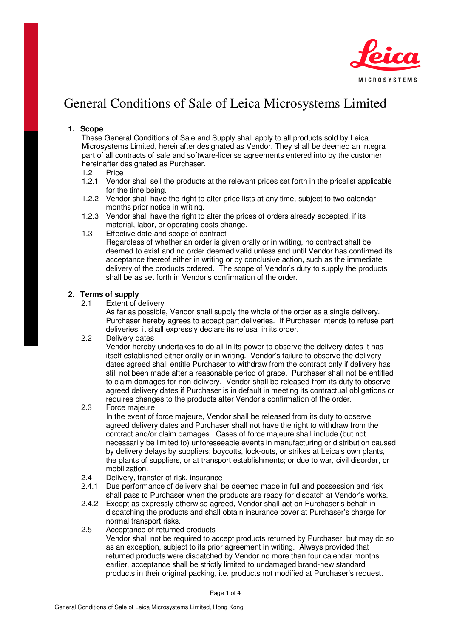

# General Conditions of Sale of Leica Microsystems Limited

## **1. Scope**

These General Conditions of Sale and Supply shall apply to all products sold by Leica Microsystems Limited, hereinafter designated as Vendor. They shall be deemed an integral part of all contracts of sale and software-license agreements entered into by the customer, hereinafter designated as Purchaser.

- 1.2 Price
- 1.2.1 Vendor shall sell the products at the relevant prices set forth in the pricelist applicable for the time being.
- 1.2.2 Vendor shall have the right to alter price lists at any time, subject to two calendar months prior notice in writing.
- 1.2.3 Vendor shall have the right to alter the prices of orders already accepted, if its material, labor, or operating costs change.
- 1.3 Effective date and scope of contract Regardless of whether an order is given orally or in writing, no contract shall be deemed to exist and no order deemed valid unless and until Vendor has confirmed its acceptance thereof either in writing or by conclusive action, such as the immediate delivery of the products ordered. The scope of Vendor's duty to supply the products shall be as set forth in Vendor's confirmation of the order.

# **2. Terms of supply<br>
2.1 Extent of d**

Extent of delivery

As far as possible, Vendor shall supply the whole of the order as a single delivery. Purchaser hereby agrees to accept part deliveries. If Purchaser intends to refuse part deliveries, it shall expressly declare its refusal in its order.

#### 2.2 Delivery dates

Vendor hereby undertakes to do all in its power to observe the delivery dates it has itself established either orally or in writing. Vendor's failure to observe the delivery dates agreed shall entitle Purchaser to withdraw from the contract only if delivery has still not been made after a reasonable period of grace. Purchaser shall not be entitled to claim damages for non-delivery. Vendor shall be released from its duty to observe agreed delivery dates if Purchaser is in default in meeting its contractual obligations or requires changes to the products after Vendor's confirmation of the order.

2.3 Force majeure

In the event of force majeure, Vendor shall be released from its duty to observe agreed delivery dates and Purchaser shall not have the right to withdraw from the contract and/or claim damages. Cases of force majeure shall include (but not necessarily be limited to) unforeseeable events in manufacturing or distribution caused by delivery delays by suppliers; boycotts, lock-outs, or strikes at Leica's own plants, the plants of suppliers, or at transport establishments; or due to war, civil disorder, or mobilization.

- 2.4 Delivery, transfer of risk, insurance
- 2.4.1 Due performance of delivery shall be deemed made in full and possession and risk shall pass to Purchaser when the products are ready for dispatch at Vendor's works.
- 2.4.2 Except as expressly otherwise agreed, Vendor shall act on Purchaser's behalf in dispatching the products and shall obtain insurance cover at Purchaser's charge for normal transport risks.
- 2.5 Acceptance of returned products

Vendor shall not be required to accept products returned by Purchaser, but may do so as an exception, subject to its prior agreement in writing. Always provided that returned products were dispatched by Vendor no more than four calendar months earlier, acceptance shall be strictly limited to undamaged brand-new standard products in their original packing, i.e. products not modified at Purchaser's request.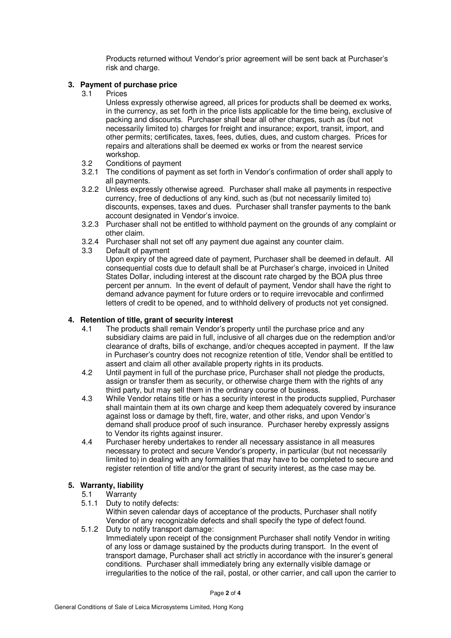Products returned without Vendor's prior agreement will be sent back at Purchaser's risk and charge.

## **3. Payment of purchase price**

3.1 Prices

Unless expressly otherwise agreed, all prices for products shall be deemed ex works, in the currency, as set forth in the price lists applicable for the time being, exclusive of packing and discounts. Purchaser shall bear all other charges, such as (but not necessarily limited to) charges for freight and insurance; export, transit, import, and other permits; certificates, taxes, fees, duties, dues, and custom charges. Prices for repairs and alterations shall be deemed ex works or from the nearest service workshop.

- 3.2 Conditions of payment
- 3.2.1 The conditions of payment as set forth in Vendor's confirmation of order shall apply to all payments.
- 3.2.2 Unless expressly otherwise agreed. Purchaser shall make all payments in respective currency, free of deductions of any kind, such as (but not necessarily limited to) discounts, expenses, taxes and dues. Purchaser shall transfer payments to the bank account designated in Vendor's invoice.
- 3.2.3 Purchaser shall not be entitled to withhold payment on the grounds of any complaint or other claim.
- 3.2.4 Purchaser shall not set off any payment due against any counter claim.
- 3.3 Default of payment

Upon expiry of the agreed date of payment, Purchaser shall be deemed in default. All consequential costs due to default shall be at Purchaser's charge, invoiced in United States Dollar, including interest at the discount rate charged by the BOA plus three percent per annum. In the event of default of payment, Vendor shall have the right to demand advance payment for future orders or to require irrevocable and confirmed letters of credit to be opened, and to withhold delivery of products not yet consigned.

#### **4. Retention of title, grant of security interest**

- 4.1 The products shall remain Vendor's property until the purchase price and any subsidiary claims are paid in full, inclusive of all charges due on the redemption and/or clearance of drafts, bills of exchange, and/or cheques accepted in payment. If the law in Purchaser's country does not recognize retention of title, Vendor shall be entitled to assert and claim all other available property rights in its products.
- 4.2 Until payment in full of the purchase price, Purchaser shall not pledge the products, assign or transfer them as security, or otherwise charge them with the rights of any third party, but may sell them in the ordinary course of business.
- 4.3 While Vendor retains title or has a security interest in the products supplied, Purchaser shall maintain them at its own charge and keep them adequately covered by insurance against loss or damage by theft, fire, water, and other risks, and upon Vendor's demand shall produce proof of such insurance. Purchaser hereby expressly assigns to Vendor its rights against insurer.
- 4.4 Purchaser hereby undertakes to render all necessary assistance in all measures necessary to protect and secure Vendor's property, in particular (but not necessarily limited to) in dealing with any formalities that may have to be completed to secure and register retention of title and/or the grant of security interest, as the case may be.

# **5. Warranty, liability**

#### Warranty

- 5.1.1 Duty to notify defects: Within seven calendar days of acceptance of the products, Purchaser shall notify Vendor of any recognizable defects and shall specify the type of defect found.
- 5.1.2 Duty to notify transport damage:

Immediately upon receipt of the consignment Purchaser shall notify Vendor in writing of any loss or damage sustained by the products during transport. In the event of transport damage, Purchaser shall act strictly in accordance with the insurer's general conditions. Purchaser shall immediately bring any externally visible damage or irregularities to the notice of the rail, postal, or other carrier, and call upon the carrier to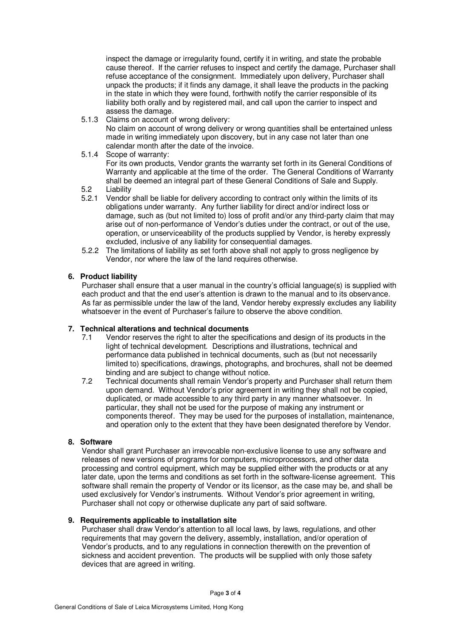inspect the damage or irregularity found, certify it in writing, and state the probable cause thereof. If the carrier refuses to inspect and certify the damage, Purchaser shall refuse acceptance of the consignment. Immediately upon delivery, Purchaser shall unpack the products; if it finds any damage, it shall leave the products in the packing in the state in which they were found, forthwith notify the carrier responsible of its liability both orally and by registered mail, and call upon the carrier to inspect and assess the damage.

5.1.3 Claims on account of wrong delivery:

No claim on account of wrong delivery or wrong quantities shall be entertained unless made in writing immediately upon discovery, but in any case not later than one calendar month after the date of the invoice.

5.1.4 Scope of warranty:

For its own products, Vendor grants the warranty set forth in its General Conditions of Warranty and applicable at the time of the order. The General Conditions of Warranty shall be deemed an integral part of these General Conditions of Sale and Supply.

- 5.2 Liability<br>5.2.1 Vendor
- 5.2.1 Vendor shall be liable for delivery according to contract only within the limits of its obligations under warranty. Any further liability for direct and/or indirect loss or damage, such as (but not limited to) loss of profit and/or any third-party claim that may arise out of non-performance of Vendor's duties under the contract, or out of the use, operation, or unserviceability of the products supplied by Vendor, is hereby expressly excluded, inclusive of any liability for consequential damages.
- 5.2.2 The limitations of liability as set forth above shall not apply to gross negligence by Vendor, nor where the law of the land requires otherwise.

#### **6. Product liability**

Purchaser shall ensure that a user manual in the country's official language(s) is supplied with each product and that the end user's attention is drawn to the manual and to its observance. As far as permissible under the law of the land, Vendor hereby expressly excludes any liability whatsoever in the event of Purchaser's failure to observe the above condition.

## **7. Technical alterations and technical documents**

- 7.1 Vendor reserves the right to alter the specifications and design of its products in the light of technical development. Descriptions and illustrations, technical and performance data published in technical documents, such as (but not necessarily limited to) specifications, drawings, photographs, and brochures, shall not be deemed binding and are subject to change without notice.
- 7.2 Technical documents shall remain Vendor's property and Purchaser shall return them upon demand. Without Vendor's prior agreement in writing they shall not be copied, duplicated, or made accessible to any third party in any manner whatsoever. In particular, they shall not be used for the purpose of making any instrument or components thereof. They may be used for the purposes of installation, maintenance, and operation only to the extent that they have been designated therefore by Vendor.

#### **8. Software**

Vendor shall grant Purchaser an irrevocable non-exclusive license to use any software and releases of new versions of programs for computers, microprocessors, and other data processing and control equipment, which may be supplied either with the products or at any later date, upon the terms and conditions as set forth in the software-license agreement. This software shall remain the property of Vendor or its licensor, as the case may be, and shall be used exclusively for Vendor's instruments. Without Vendor's prior agreement in writing, Purchaser shall not copy or otherwise duplicate any part of said software.

#### **9. Requirements applicable to installation site**

Purchaser shall draw Vendor's attention to all local laws, by laws, regulations, and other requirements that may govern the delivery, assembly, installation, and/or operation of Vendor's products, and to any regulations in connection therewith on the prevention of sickness and accident prevention. The products will be supplied with only those safety devices that are agreed in writing.